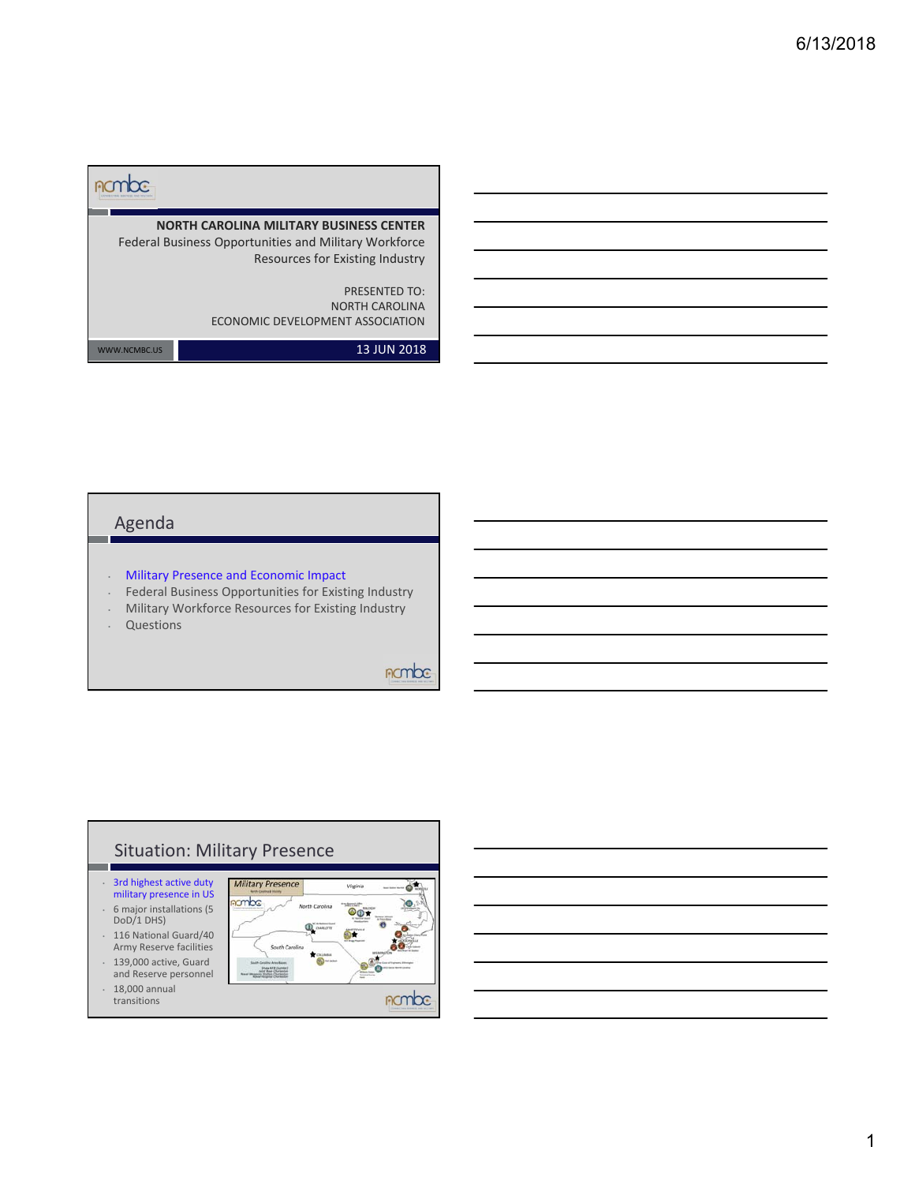| <b>NORTH CAROLINA MILITARY BUSINESS CENTER</b><br>Federal Business Opportunities and Military Workforce |
|---------------------------------------------------------------------------------------------------------|
| Resources for Existing Industry<br><b>PRESENTED TO:</b>                                                 |
| <b>NORTH CAROLINA</b><br>ECONOMIC DEVELOPMENT ASSOCIATION                                               |
|                                                                                                         |

WWW.NCMBC.US **13 JUN 2018** 

### Agenda

- Military Presence and Economic Impact
- Federal Business Opportunities for Existing Industry
- Military Workforce Resources for Existing Industry
- Questions

## nombe

# Situation: Military Presence

• 3rd highest active duty military presence in US • 6 major installations (5 DoD/1 DHS)

- 116 National Guard/40 Army Reserve facilities • 139,000 active, Guard
- and Reserve personnel • 18,000 annual
- transitions

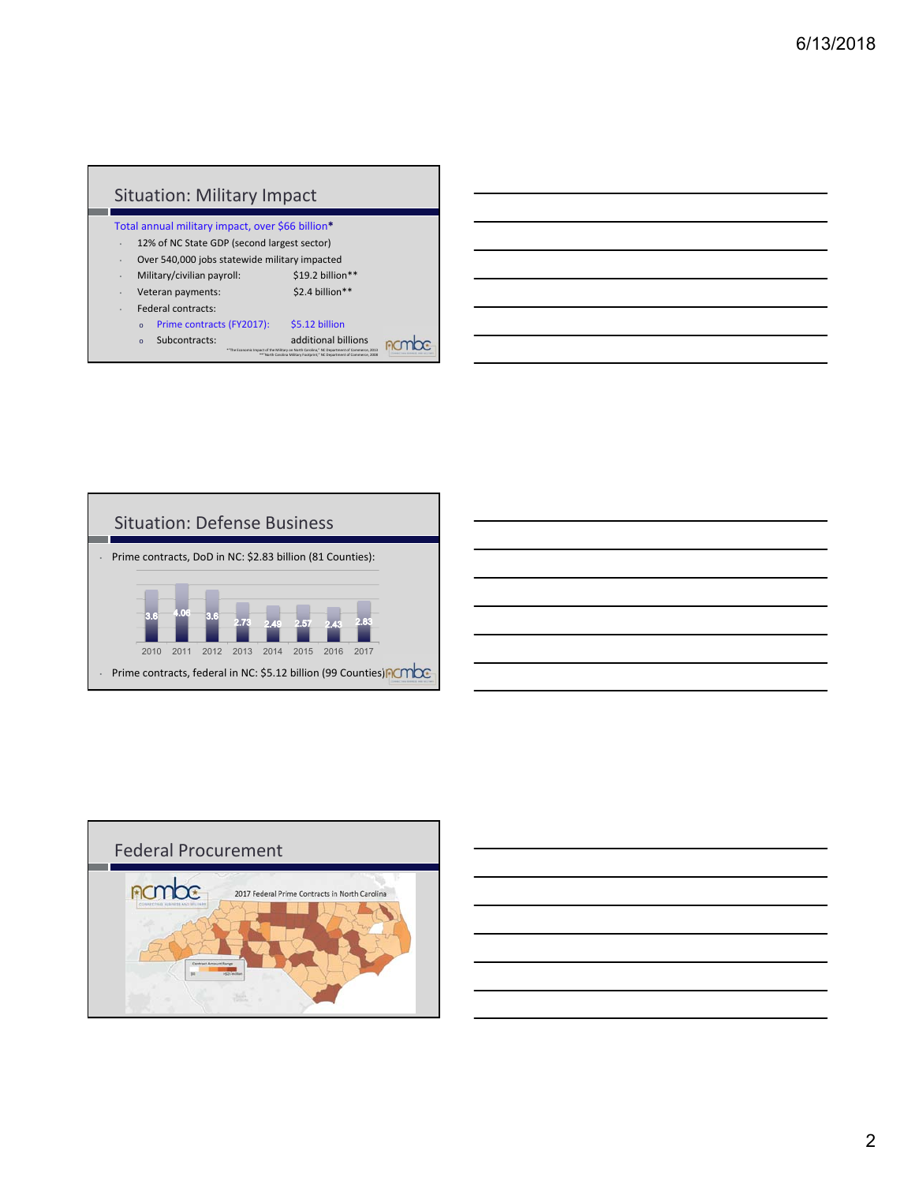



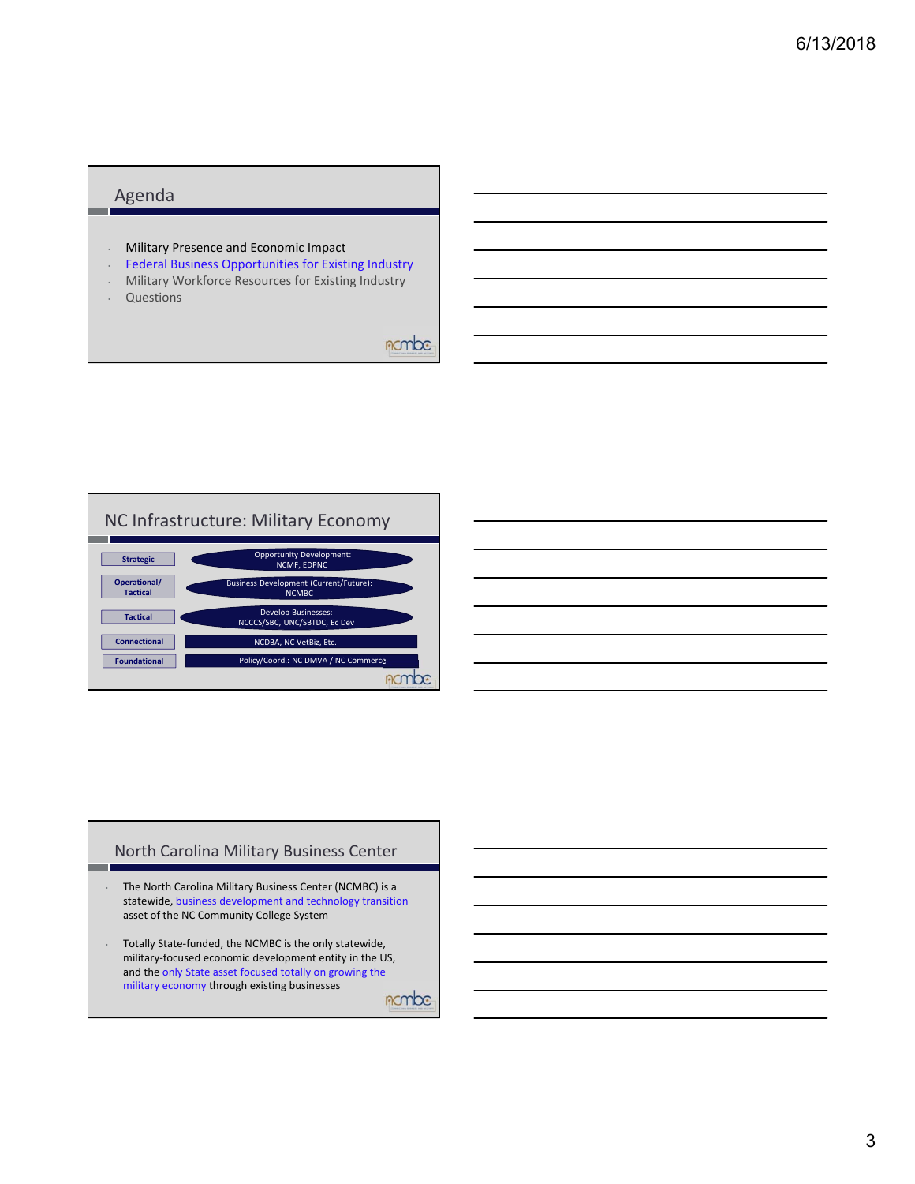#### Agenda

- Military Presence and Economic Impact
- Federal Business Opportunities for Existing Industry
- Military Workforce Resources for Existing Industry
- Questions

nombe



#### North Carolina Military Business Center

- The North Carolina Military Business Center (NCMBC) is a statewide, business development and technology transition asset of the NC Community College System
- Totally State‐funded, the NCMBC is the only statewide, military‐focused economic development entity in the US, and the only State asset focused totally on growing the military economy through existing businesses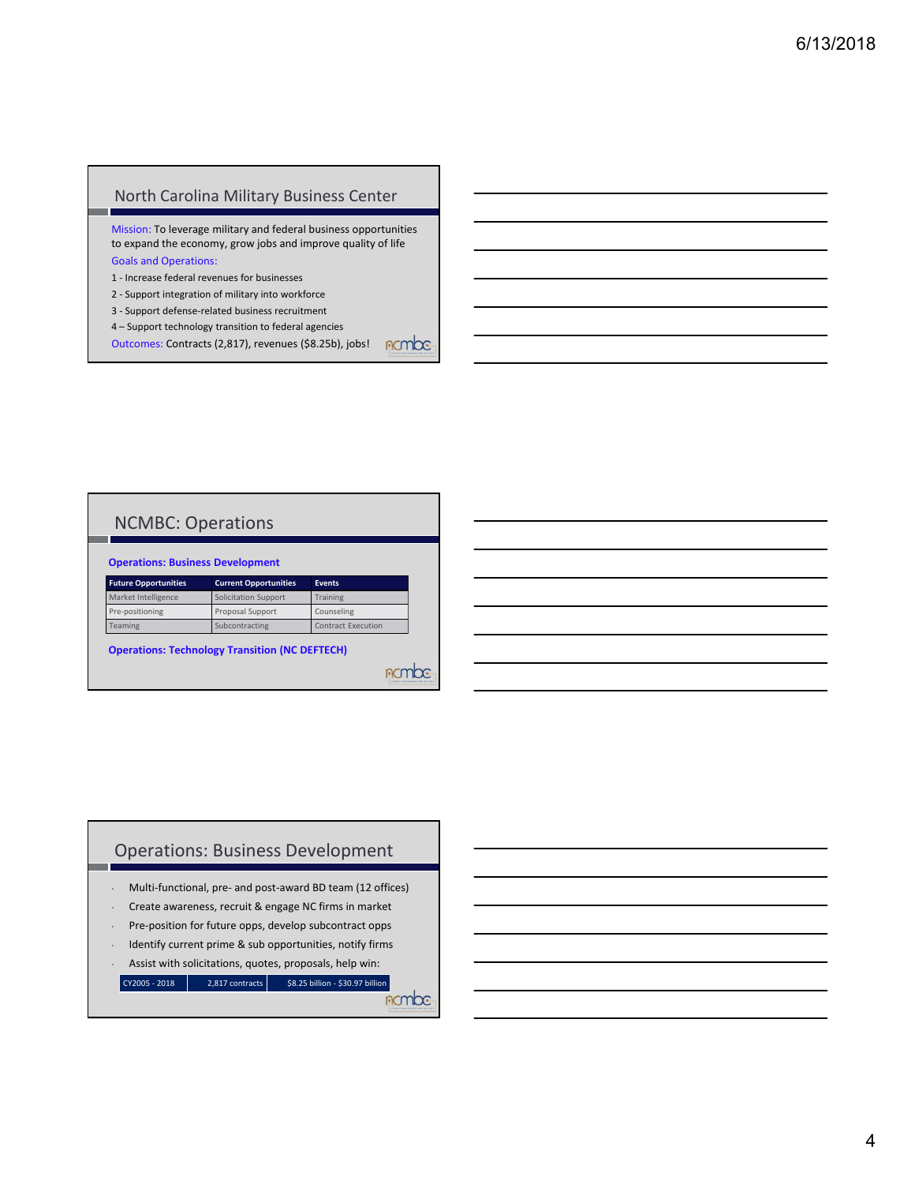#### North Carolina Military Business Center

Mission: To leverage military and federal business opportunities to expand the economy, grow jobs and improve quality of life Goals and Operations:

- 1 ‐ Increase federal revenues for businesses
- 2 ‐ Support integration of military into workforce
- 3 ‐ Support defense‐related business recruitment
- 4 Support technology transition to federal agencies

Outcomes: Contracts (2,817), revenues (\$8.25b), jobs! non

#### NCMBC: Operations

| <b>Future Opportunities</b> | <b>Current Opportunities</b> | <b>Events</b>             |  |
|-----------------------------|------------------------------|---------------------------|--|
| Market Intelligence         | <b>Solicitation Support</b>  | Training                  |  |
| Pre-positioning             | Proposal Support             | Counseling                |  |
| <b>Teaming</b>              | Subcontracting               | <b>Contract Execution</b> |  |

**Operations: Technology Transition (NC DEFTECH)**

#### Operations: Business Development

- Multi‐functional, pre‐ and post‐award BD team (12 offices)
- Create awareness, recruit & engage NC firms in market
- Pre‐position for future opps, develop subcontract opps
- Identify current prime & sub opportunities, notify firms
- Assist with solicitations, quotes, proposals, help win:

 $\begin{array}{|c|c|c|c|c|}\n\hline\n\text{CV2005 - 2018} & 2,817 \text{ contracts} & $58.25 \text{ billion -} $530.97 \text{ billion} \\\hline\n\end{array}$ 

*<u>ROMbe</u>* 

**Acmbe**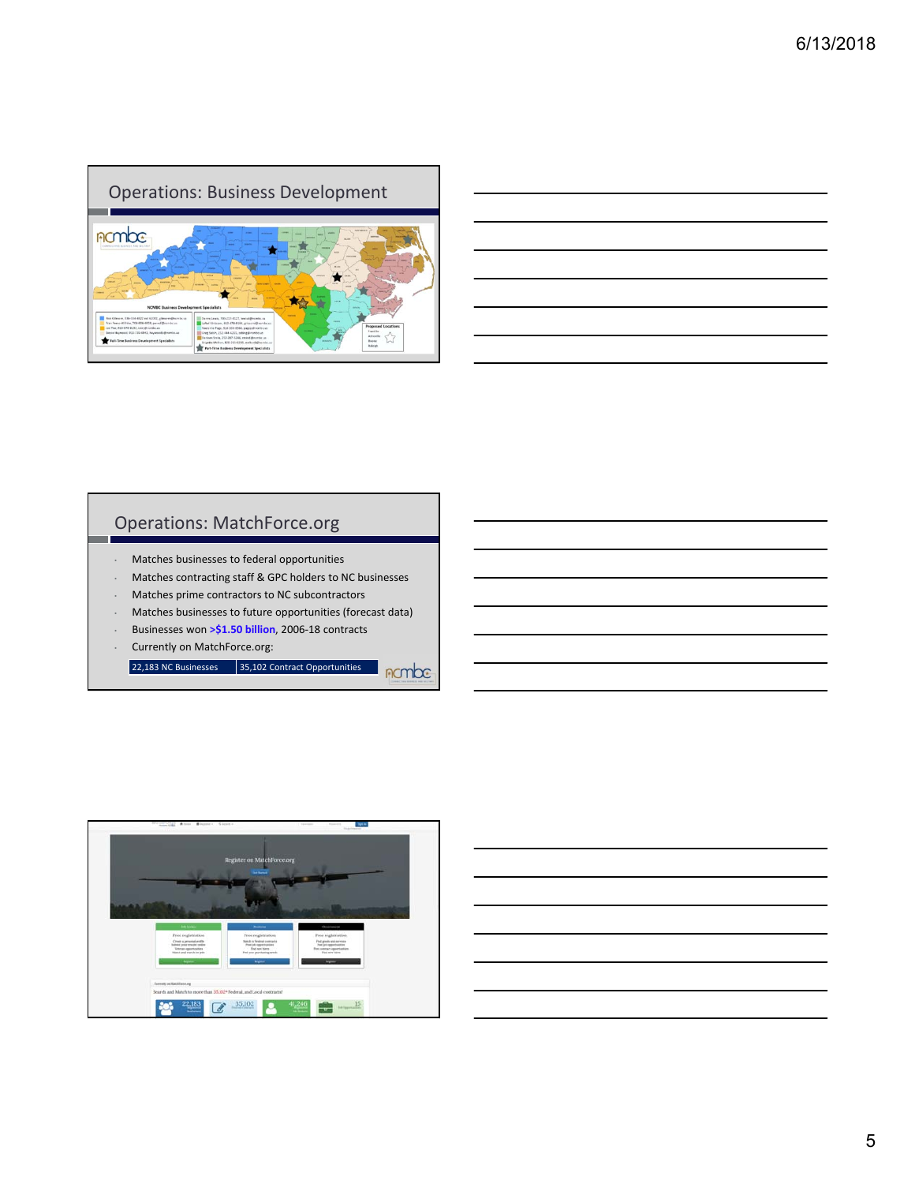

#### Operations: MatchForce.org

- Matches businesses to federal opportunities
- Matches contracting staff & GPC holders to NC businesses
- Matches prime contractors to NC subcontractors
- Matches businesses to future opportunities (forecast data)

**nombe** 

- Businesses won **>\$1.50 billion**, 2006‐18 contracts
- Currently on MatchForce.org:

 $\overline{22,183}$  NC Businesses  $\overline{35,102}$  Contract Opportunities

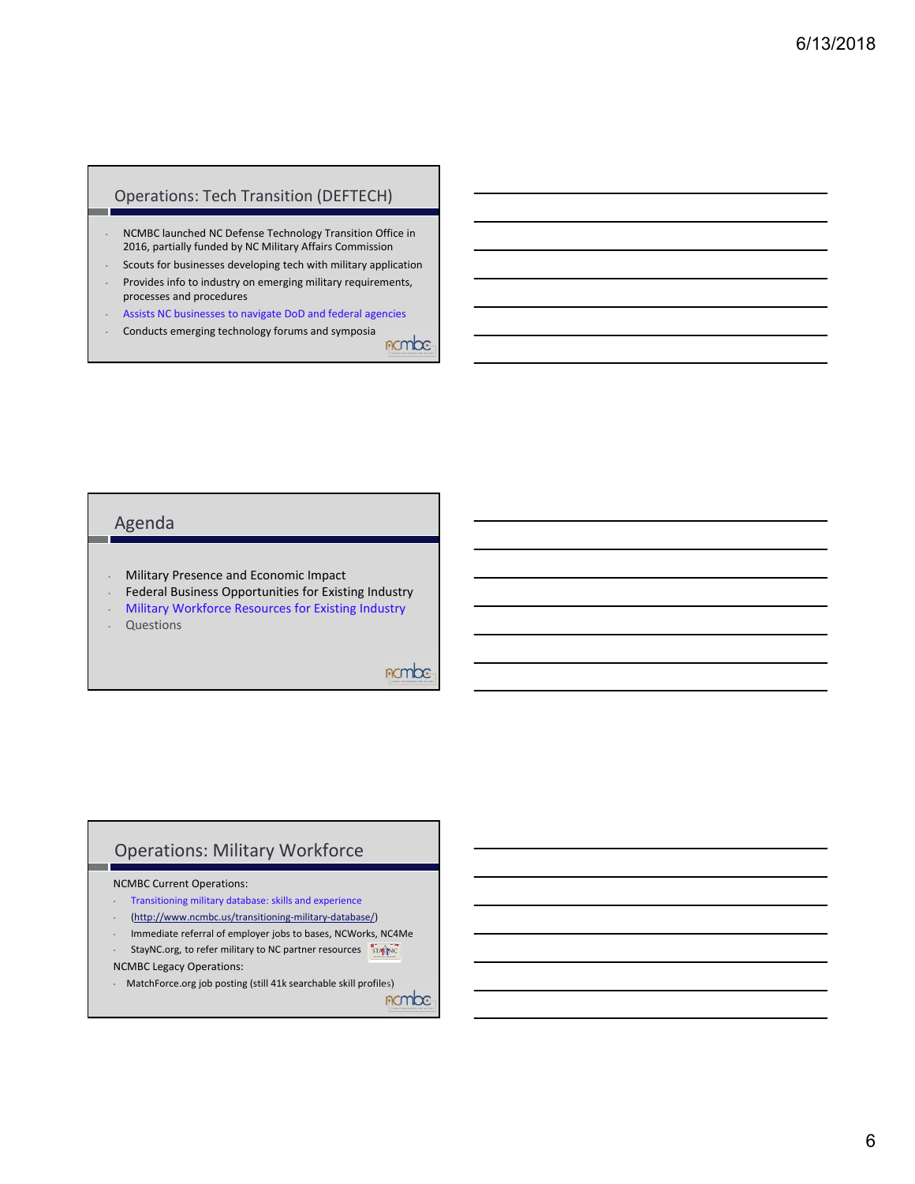#### Operations: Tech Transition (DEFTECH)

- NCMBC launched NC Defense Technology Transition Office in 2016, partially funded by NC Military Affairs Commission
- Scouts for businesses developing tech with military application
- Provides info to industry on emerging military requirements, processes and procedures
- Assists NC businesses to navigate DoD and federal agencies • Conducts emerging technology forums and symposia

nombe

#### Agenda

- Military Presence and Economic Impact
- Federal Business Opportunities for Existing Industry
- Military Workforce Resources for Existing Industry
- Questions

#### *<u>ROMOC</u>*

#### Operations: Military Workforce

#### NCMBC Current Operations:

- Transitioning military database: skills and experience
- (http://www.ncmbc.us/transitioning‐military‐database/)
- Immediate referral of employer jobs to bases, NCWorks, NC4Me
- StayNC.org, to refer military to NC partner resources **STANC**

NCMBC Legacy Operations:

• MatchForce.org job posting (still 41k searchable skill profiles)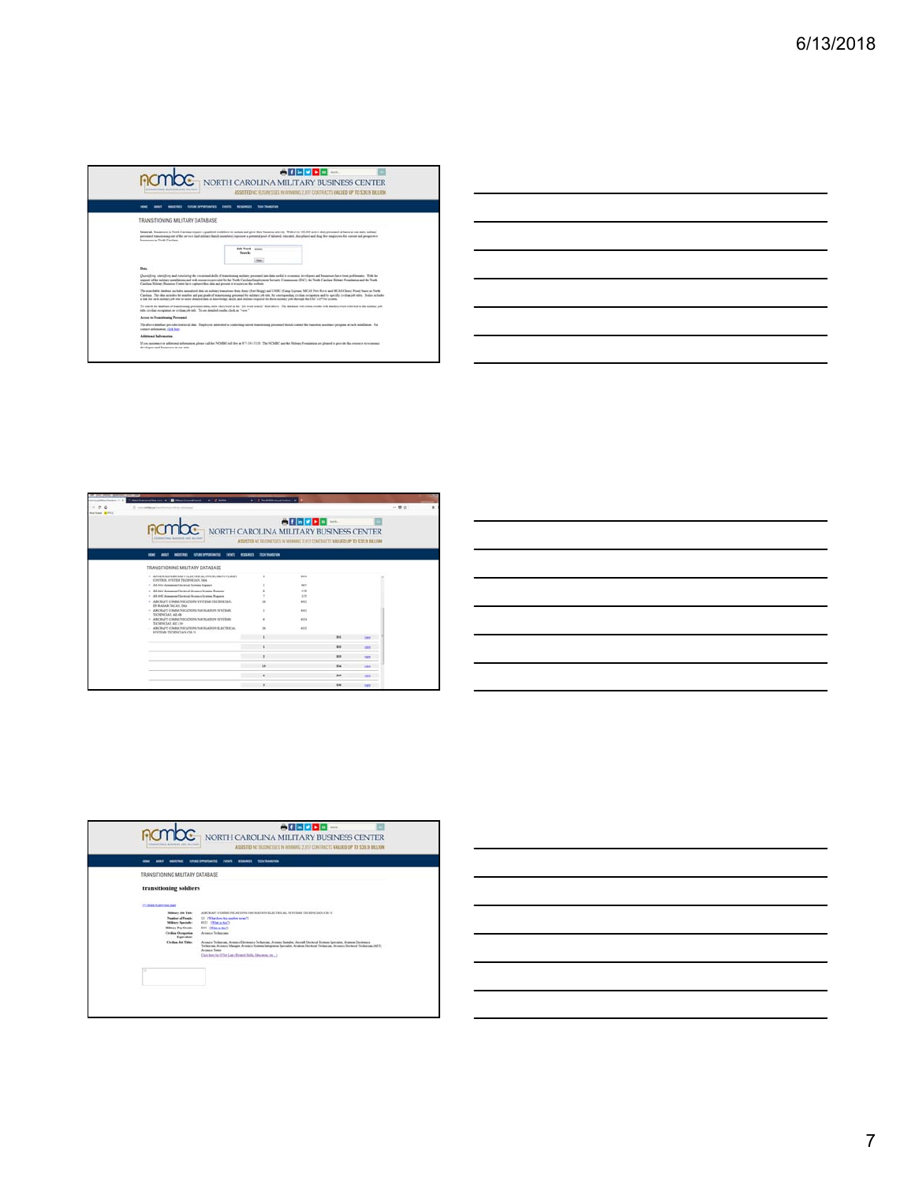|                                                                                  | ASSISTED NC ELTINESSES IN WINNING 2, RT CONTRACTS VALUED UP TO \$30.9 TILLION                                                                                                                                                                                                                                                                                                                                                                                                                                                                              |
|----------------------------------------------------------------------------------|------------------------------------------------------------------------------------------------------------------------------------------------------------------------------------------------------------------------------------------------------------------------------------------------------------------------------------------------------------------------------------------------------------------------------------------------------------------------------------------------------------------------------------------------------------|
| em                                                                               | TEN TRANSFERS<br><b>FUTURE OFFICIATIONS TOP</b><br><b>NUMBER</b><br>DOCK                                                                                                                                                                                                                                                                                                                                                                                                                                                                                   |
| TRANSITIONING MILITARY DATABASE                                                  |                                                                                                                                                                                                                                                                                                                                                                                                                                                                                                                                                            |
| Insurances in North Carolina.                                                    | General: Simmercan in North Carolina request a qualified workline at system and grow three business activity. With your 100,000 active daty previousl at faces in our state, military<br>privinged transitioning (est of the interview land military flamily members) injectors a presental pool of informed, idealers, document and dring their employments for contrast and prospective                                                                                                                                                                  |
|                                                                                  | Ask Word Army<br>Search<br>men.                                                                                                                                                                                                                                                                                                                                                                                                                                                                                                                            |
| Burs.                                                                            |                                                                                                                                                                                                                                                                                                                                                                                                                                                                                                                                                            |
|                                                                                  | Curriculum standing and inquiring the constituted skills of transitionized auditory provinced any data world to commute throubless and businesses have been problemate. With the<br>support of the nationy members and web resources previded by the North Carolina Deployment Growin Communae (ESC), the North Carolina Military Foundation and the North<br>Carolina Military Bosseins Create have captured this data and present it to parent on the website                                                                                            |
|                                                                                  | The somethingle distribute and holes associated data on excitant transitions from Assist (Fort Bouga) and UNAC (Comp Leonard, MCAL New Ruter and MCA) (Cheese Point) bases on North<br>Carolina. The data archains the number and pay grade of transitioning personal by military job tole. by contriguouslag cristian occupation and by specific certifies, ink toles. In also includes<br>a lot for each estimary job title to more detailed data on knowledge, skills, and abilities required for three military jobs daysage the \$34"s O'Vict system. |
| Mix, similar computed or similar advisity. To see detailed works, click on "new" | To anset the debitary of transitioning personal data, rate a between as the "art work" full above. The debitary will other results with that beyond reflected as the suitage art                                                                                                                                                                                                                                                                                                                                                                           |
| Arrest to Transitioning Primated.                                                |                                                                                                                                                                                                                                                                                                                                                                                                                                                                                                                                                            |
| comes admission, the box                                                         | The above database provides between d data. Sangleoves approached an eigenstrap convent transitionized presented should contact the transition operator program at each installation. For                                                                                                                                                                                                                                                                                                                                                                  |
| Additional Salarmatics                                                           |                                                                                                                                                                                                                                                                                                                                                                                                                                                                                                                                                            |

| 2 Income management is collecting on the provision and<br><b>Buildings BE MAY</b> |                                                                    |                                                                               |             |             |             | $-1.02 - 10$ |
|-----------------------------------------------------------------------------------|--------------------------------------------------------------------|-------------------------------------------------------------------------------|-------------|-------------|-------------|--------------|
|                                                                                   | <b>ACMOC</b> NORTH CAROLINA MILITARY BUSINESS CENTER               | ASSISTED NC BUSINESSEE IN WINNING 2,017 CONTRACTS VALUED UP TO \$30.9 BILLION | A           |             |             |              |
| <b>MORTHER</b><br><b>HOME</b>                                                     | <b><i>ROUND SPPLINTINTS</i></b><br><b>DOM:</b><br><b>RESOURCES</b> | <b>TECH THANGETON</b>                                                         |             |             |             |              |
| TRANSITIONING MILITARY DATABASE                                                   |                                                                    |                                                                               |             |             |             |              |
| CONTROL SYNTEM TECHNICLAN, TAKA                                                   | $+$ AUVENCED AND BALL HARTING ALAM RESIDENCE.                      |                                                                               | diams.      |             |             |              |
| · All-Ath American Section System Report                                          |                                                                    |                                                                               | se t        |             |             |              |
| + AH-64A Annuncent Morricul Acussion Systems Reporter                             |                                                                    |                                                                               | 115         |             |             |              |
| · AH 440 Annauer Seresal Avisson fromm Report                                     |                                                                    |                                                                               | <b>TTP</b>  |             |             |              |
| 101 BADAR TACAS DAN                                                               | · ABCRAFT CONNE/NSUCREAS SYSTEMS ESCREVICLAN.                      |                                                                               | sic)        |             |             |              |
| TECHNICIAN, AILAN                                                                 | + ABCRAFT COMMUNICATIONS NAV BLACED SYSTEMS                        |                                                                               | ART.<br>œ   |             |             |              |
| TECHNICIAN KC.136                                                                 | + AIRCRAPT COMMUNICATIONS NATIONATED EVIDENCE.                     |                                                                               | <b>ATTN</b> |             |             |              |
| STEERING TROUBUCLAY, GR 53                                                        | - ABCRAFT COMMUNICATIONS NIGHTS IN BUILDETBICAL                    | $\overline{\phantom{a}}$                                                      | 4171        |             |             |              |
|                                                                                   |                                                                    |                                                                               |             | <b>EMI</b>  | <b>SAFE</b> |              |
|                                                                                   |                                                                    |                                                                               |             | <b>ker</b>  | $\sim$      |              |
|                                                                                   |                                                                    |                                                                               |             | <b>EMR</b>  | <b>SIER</b> |              |
|                                                                                   |                                                                    | <b>x</b>                                                                      |             | <b>Elia</b> | w           |              |
|                                                                                   |                                                                    | ٠                                                                             |             | <b>sun</b>  | <b>SHA</b>  |              |
|                                                                                   |                                                                    |                                                                               |             | <b>ESC</b>  | <b>SILE</b> |              |

|                                                                                                                                                                                                                                                                                                                                                                                                                                                                            | and the control of the control of the control of the control of the control of the control of the control of the |  |  |
|----------------------------------------------------------------------------------------------------------------------------------------------------------------------------------------------------------------------------------------------------------------------------------------------------------------------------------------------------------------------------------------------------------------------------------------------------------------------------|------------------------------------------------------------------------------------------------------------------|--|--|
|                                                                                                                                                                                                                                                                                                                                                                                                                                                                            |                                                                                                                  |  |  |
| $\frac{1}{2} \left( \frac{1}{2} \right) \left( \frac{1}{2} \right) \left( \frac{1}{2} \right) \left( \frac{1}{2} \right) \left( \frac{1}{2} \right) \left( \frac{1}{2} \right) \left( \frac{1}{2} \right) \left( \frac{1}{2} \right) \left( \frac{1}{2} \right) \left( \frac{1}{2} \right) \left( \frac{1}{2} \right) \left( \frac{1}{2} \right) \left( \frac{1}{2} \right) \left( \frac{1}{2} \right) \left( \frac{1}{2} \right) \left( \frac{1}{2} \right) \left( \frac$ |                                                                                                                  |  |  |
| $\overline{\phantom{a}}$                                                                                                                                                                                                                                                                                                                                                                                                                                                   |                                                                                                                  |  |  |
| $\overline{\phantom{a}}$                                                                                                                                                                                                                                                                                                                                                                                                                                                   |                                                                                                                  |  |  |
|                                                                                                                                                                                                                                                                                                                                                                                                                                                                            |                                                                                                                  |  |  |
|                                                                                                                                                                                                                                                                                                                                                                                                                                                                            | the control of the control of the control of the control of the control of                                       |  |  |
|                                                                                                                                                                                                                                                                                                                                                                                                                                                                            |                                                                                                                  |  |  |



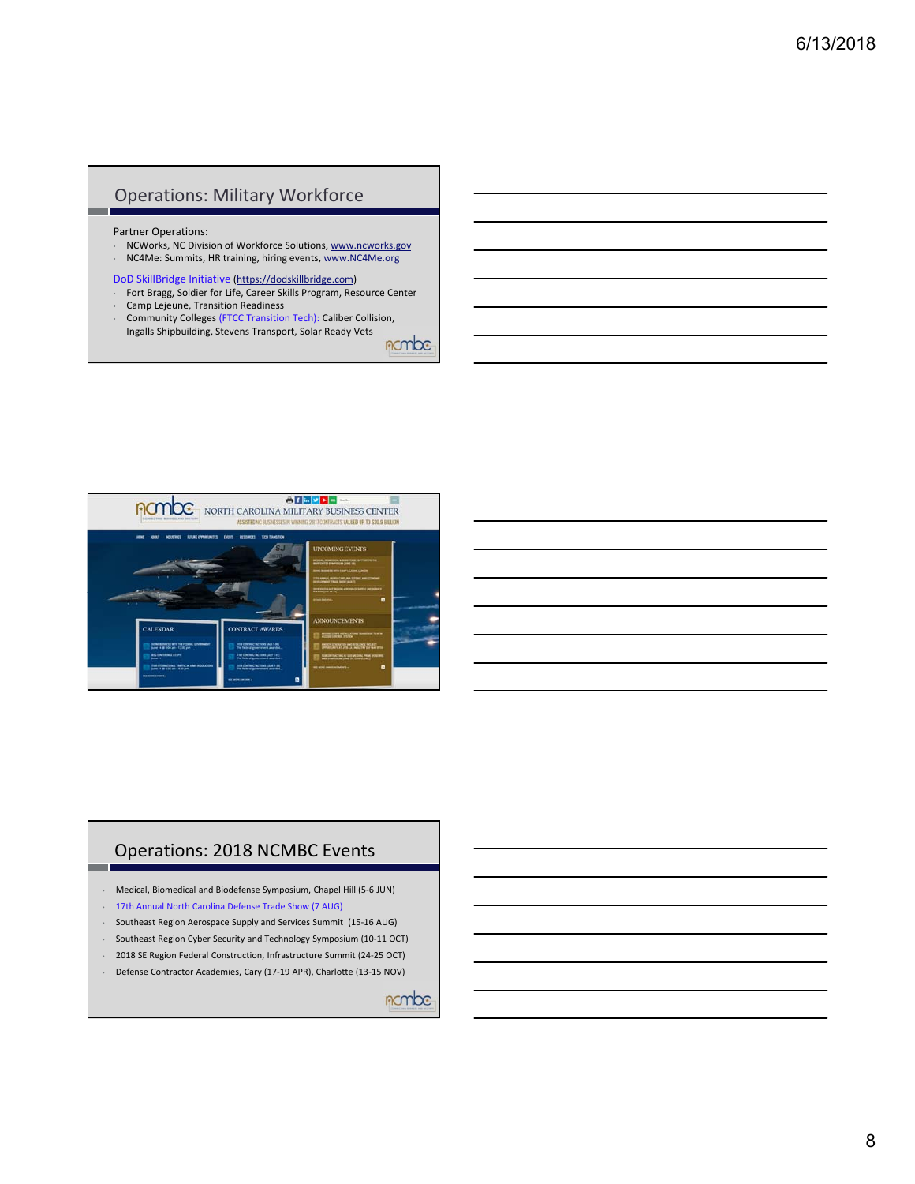#### Operations: Military Workforce

Partner Operations:

- NCWorks, NC Division of Workforce Solutions, www.ncworks.gov
- NC4Me: Summits, HR training, hiring events, www.NC4Me.org

DoD SkillBridge Initiative (https://dodskillbridge.com)

- Fort Bragg, Soldier for Life, Career Skills Program, Resource Center • Camp Lejeune, Transition Readiness
- Community Colleges (FTCC Transition Tech): Caliber Collision, Ingalls Shipbuilding, Stevens Transport, Solar Ready Vets

nombe



#### Operations: 2018 NCMBC Events

- Medical, Biomedical and Biodefense Symposium, Chapel Hill (5‐6 JUN)
- 17th Annual North Carolina Defense Trade Show (7 AUG)
- Southeast Region Aerospace Supply and Services Summit (15‐16 AUG)
- Southeast Region Cyber Security and Technology Symposium (10‐11 OCT)
- 2018 SE Region Federal Construction, Infrastructure Summit (24‐25 OCT)
- Defense Contractor Academies, Cary (17‐19 APR), Charlotte (13‐15 NOV)